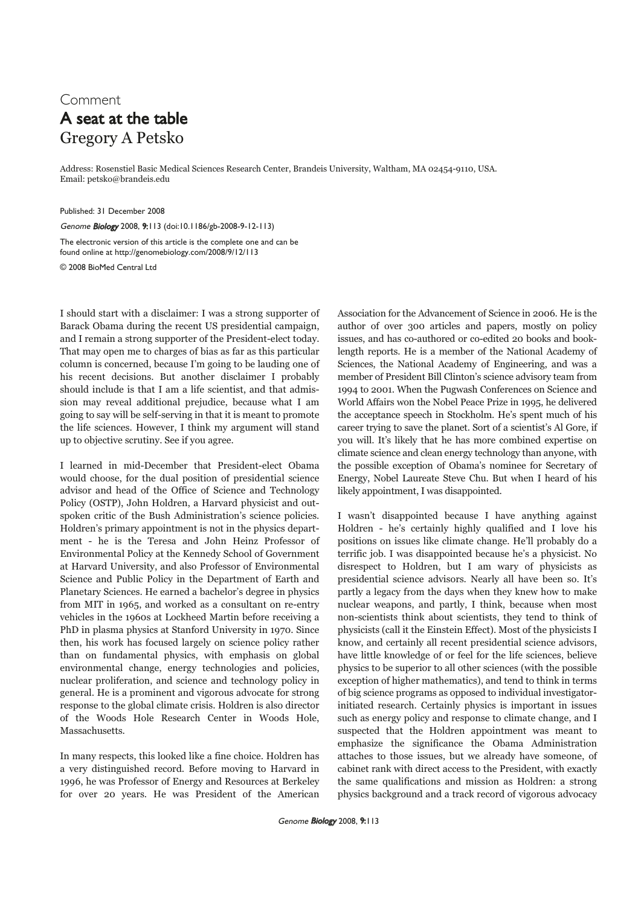## Comment A seat at the table Gregory A Petsko

Address: Rosenstiel Basic Medical Sciences Research Center, Brandeis University, Waltham, MA 02454-9110, USA. Email: petsko@brandeis.edu

Published: 31 December 2008

Genome Biology 2008, 9:113 (doi:10.1186/gb-2008-9-12-113)

The electronic version of this article is the complete one and can be found online at http://genomebiology.com/2008/9/12/113

© 2008 BioMed Central Ltd

I should start with a disclaimer: I was a strong supporter of Barack Obama during the recent US presidential campaign, and I remain a strong supporter of the President-elect today. That may open me to charges of bias as far as this particular column is concerned, because I'm going to be lauding one of his recent decisions. But another disclaimer I probably should include is that I am a life scientist, and that admission may reveal additional prejudice, because what I am going to say will be self-serving in that it is meant to promote the life sciences. However, I think my argument will stand up to objective scrutiny. See if you agree.

I learned in mid-December that President-elect Obama would choose, for the dual position of presidential science advisor and head of the Office of Science and Technology Policy (OSTP), John Holdren, a Harvard physicist and outspoken critic of the Bush Administration's science policies. Holdren's primary appointment is not in the physics department - he is the Teresa and John Heinz Professor of Environmental Policy at the Kennedy School of Government at Harvard University, and also Professor of Environmental Science and Public Policy in the Department of Earth and Planetary Sciences. He earned a bachelor's degree in physics from MIT in 1965, and worked as a consultant on re-entry vehicles in the 1960s at Lockheed Martin before receiving a PhD in plasma physics at Stanford University in 1970. Since then, his work has focused largely on science policy rather than on fundamental physics, with emphasis on global environmental change, energy technologies and policies, nuclear proliferation, and science and technology policy in general. He is a prominent and vigorous advocate for strong response to the global climate crisis. Holdren is also director of the Woods Hole Research Center in Woods Hole, Massachusetts.

In many respects, this looked like a fine choice. Holdren has a very distinguished record. Before moving to Harvard in 1996, he was Professor of Energy and Resources at Berkeley for over 20 years. He was President of the American Association for the Advancement of Science in 2006. He is the author of over 300 articles and papers, mostly on policy issues, and has co-authored or co-edited 20 books and booklength reports. He is a member of the National Academy of Sciences, the National Academy of Engineering, and was a member of President Bill Clinton's science advisory team from 1994 to 2001. When the Pugwash Conferences on Science and World Affairs won the Nobel Peace Prize in 1995, he delivered the acceptance speech in Stockholm. He's spent much of his career trying to save the planet. Sort of a scientist's Al Gore, if you will. It's likely that he has more combined expertise on climate science and clean energy technology than anyone, with the possible exception of Obama's nominee for Secretary of Energy, Nobel Laureate Steve Chu. But when I heard of his likely appointment, I was disappointed.

I wasn't disappointed because I have anything against Holdren - he's certainly highly qualified and I love his positions on issues like climate change. He'll probably do a terrific job. I was disappointed because he's a physicist. No disrespect to Holdren, but I am wary of physicists as presidential science advisors. Nearly all have been so. It's partly a legacy from the days when they knew how to make nuclear weapons, and partly, I think, because when most non-scientists think about scientists, they tend to think of physicists (call it the Einstein Effect). Most of the physicists I know, and certainly all recent presidential science advisors, have little knowledge of or feel for the life sciences, believe physics to be superior to all other sciences (with the possible exception of higher mathematics), and tend to think in terms of big science programs as opposed to individual investigatorinitiated research. Certainly physics is important in issues such as energy policy and response to climate change, and I suspected that the Holdren appointment was meant to emphasize the significance the Obama Administration attaches to those issues, but we already have someone, of cabinet rank with direct access to the President, with exactly the same qualifications and mission as Holdren: a strong physics background and a track record of vigorous advocacy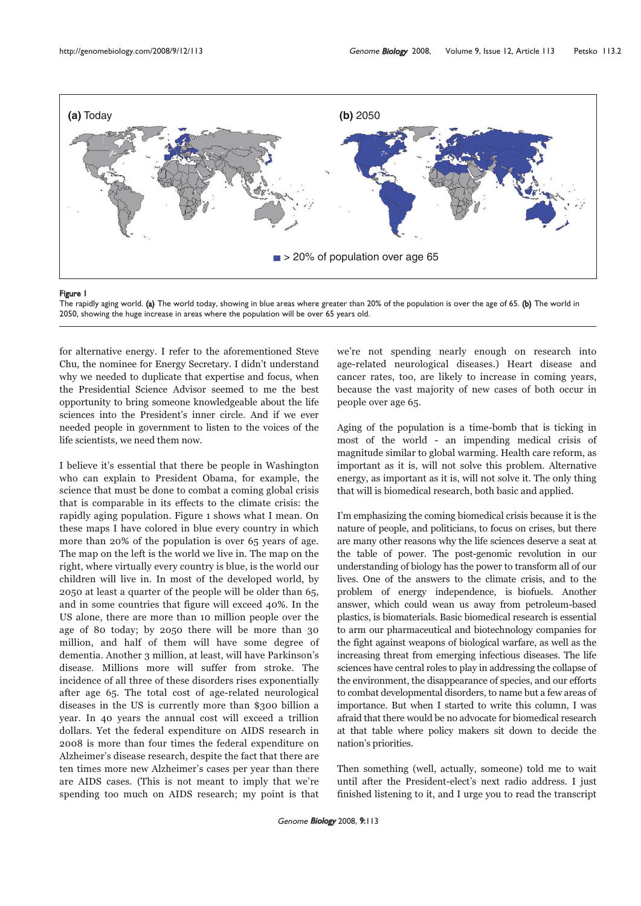

The rapidly aging world. (a) The world today, showing in blue areas where greater than 20% of the population is over the age of 65. (b) The world in 2050, showing the huge increase in areas where the population will be over 65 years old.

for alternative energy. I refer to the aforementioned Steve Chu, the nominee for Energy Secretary. I didn't understand why we needed to duplicate that expertise and focus, when the Presidential Science Advisor seemed to me the best opportunity to bring someone knowledgeable about the life sciences into the President's inner circle. And if we ever needed people in government to listen to the voices of the life scientists, we need them now.

I believe it's essential that there be people in Washington who can explain to President Obama, for example, the science that must be done to combat a coming global crisis that is comparable in its effects to the climate crisis: the rapidly aging population. Figure 1 shows what I mean. On these maps I have colored in blue every country in which more than 20% of the population is over 65 years of age. The map on the left is the world we live in. The map on the right, where virtually every country is blue, is the world our children will live in. In most of the developed world, by 2050 at least a quarter of the people will be older than 65, and in some countries that figure will exceed 40%. In the US alone, there are more than 10 million people over the age of 80 today; by 2050 there will be more than 30 million, and half of them will have some degree of dementia. Another 3 million, at least, will have Parkinson's disease. Millions more will suffer from stroke. The incidence of all three of these disorders rises exponentially after age 65. The total cost of age-related neurological diseases in the US is currently more than \$300 billion a year. In 40 years the annual cost will exceed a trillion dollars. Yet the federal expenditure on AIDS research in 2008 is more than four times the federal expenditure on Alzheimer's disease research, despite the fact that there are ten times more new Alzheimer's cases per year than there are AIDS cases. (This is not meant to imply that we're spending too much on AIDS research; my point is that

we're not spending nearly enough on research into age-related neurological diseases.) Heart disease and cancer rates, too, are likely to increase in coming years, because the vast majority of new cases of both occur in people over age 65.

Aging of the population is a time-bomb that is ticking in most of the world - an impending medical crisis of magnitude similar to global warming. Health care reform, as important as it is, will not solve this problem. Alternative energy, as important as it is, will not solve it. The only thing that will is biomedical research, both basic and applied.

I'm emphasizing the coming biomedical crisis because it is the nature of people, and politicians, to focus on crises, but there are many other reasons why the life sciences deserve a seat at the table of power. The post-genomic revolution in our understanding of biology has the power to transform all of our lives. One of the answers to the climate crisis, and to the problem of energy independence, is biofuels. Another answer, which could wean us away from petroleum-based plastics, is biomaterials. Basic biomedical research is essential to arm our pharmaceutical and biotechnology companies for the fight against weapons of biological warfare, as well as the increasing threat from emerging infectious diseases. The life sciences have central roles to play in addressing the collapse of the environment, the disappearance of species, and our efforts to combat developmental disorders, to name but a few areas of importance. But when I started to write this column, I was afraid that there would be no advocate for biomedical research at that table where policy makers sit down to decide the nation's priorities.

Then something (well, actually, someone) told me to wait until after the President-elect's next radio address. I just finished listening to it, and I urge you to read the transcript